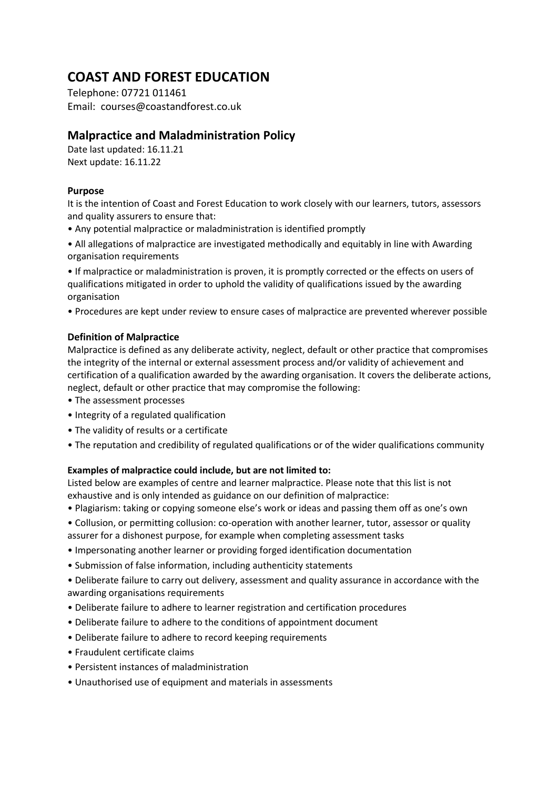# **COAST AND FOREST EDUCATION**

Telephone: 07721 011461 Email: courses@coastandforest.co.uk

# **Malpractice and Maladministration Policy**

Date last updated: 16.11.21 Next update: 16.11.22

## **Purpose**

It is the intention of Coast and Forest Education to work closely with our learners, tutors, assessors and quality assurers to ensure that:

- Any potential malpractice or maladministration is identified promptly
- All allegations of malpractice are investigated methodically and equitably in line with Awarding organisation requirements

• If malpractice or maladministration is proven, it is promptly corrected or the effects on users of qualifications mitigated in order to uphold the validity of qualifications issued by the awarding organisation

• Procedures are kept under review to ensure cases of malpractice are prevented wherever possible

# **Definition of Malpractice**

Malpractice is defined as any deliberate activity, neglect, default or other practice that compromises the integrity of the internal or external assessment process and/or validity of achievement and certification of a qualification awarded by the awarding organisation. It covers the deliberate actions, neglect, default or other practice that may compromise the following:

- The assessment processes
- Integrity of a regulated qualification
- The validity of results or a certificate
- The reputation and credibility of regulated qualifications or of the wider qualifications community

### **Examples of malpractice could include, but are not limited to:**

Listed below are examples of centre and learner malpractice. Please note that this list is not exhaustive and is only intended as guidance on our definition of malpractice:

- Plagiarism: taking or copying someone else's work or ideas and passing them off as one's own
- Collusion, or permitting collusion: co-operation with another learner, tutor, assessor or quality assurer for a dishonest purpose, for example when completing assessment tasks
- Impersonating another learner or providing forged identification documentation
- Submission of false information, including authenticity statements
- Deliberate failure to carry out delivery, assessment and quality assurance in accordance with the awarding organisations requirements
- Deliberate failure to adhere to learner registration and certification procedures
- Deliberate failure to adhere to the conditions of appointment document
- Deliberate failure to adhere to record keeping requirements
- Fraudulent certificate claims
- Persistent instances of maladministration
- Unauthorised use of equipment and materials in assessments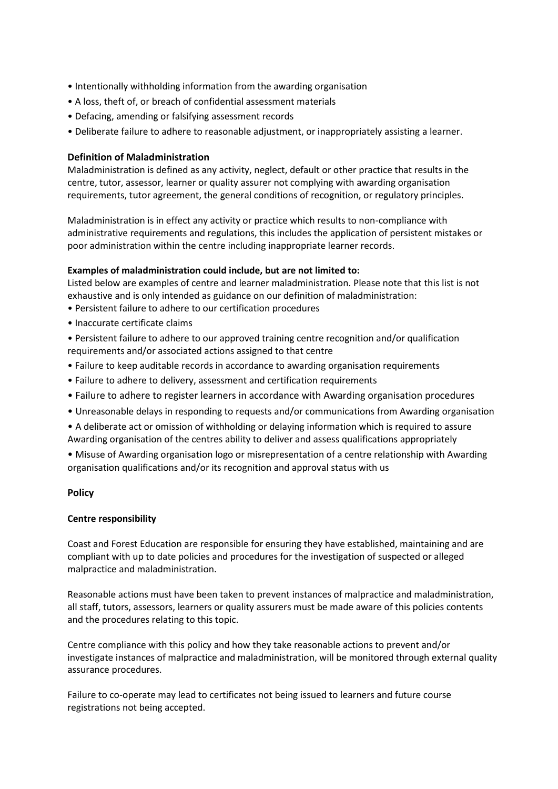- Intentionally withholding information from the awarding organisation
- A loss, theft of, or breach of confidential assessment materials
- Defacing, amending or falsifying assessment records
- Deliberate failure to adhere to reasonable adjustment, or inappropriately assisting a learner.

#### **Definition of Maladministration**

Maladministration is defined as any activity, neglect, default or other practice that results in the centre, tutor, assessor, learner or quality assurer not complying with awarding organisation requirements, tutor agreement, the general conditions of recognition, or regulatory principles.

Maladministration is in effect any activity or practice which results to non-compliance with administrative requirements and regulations, this includes the application of persistent mistakes or poor administration within the centre including inappropriate learner records.

#### **Examples of maladministration could include, but are not limited to:**

Listed below are examples of centre and learner maladministration. Please note that this list is not exhaustive and is only intended as guidance on our definition of maladministration:

- Persistent failure to adhere to our certification procedures
- Inaccurate certificate claims

• Persistent failure to adhere to our approved training centre recognition and/or qualification requirements and/or associated actions assigned to that centre

- Failure to keep auditable records in accordance to awarding organisation requirements
- Failure to adhere to delivery, assessment and certification requirements
- Failure to adhere to register learners in accordance with Awarding organisation procedures
- Unreasonable delays in responding to requests and/or communications from Awarding organisation
- A deliberate act or omission of withholding or delaying information which is required to assure Awarding organisation of the centres ability to deliver and assess qualifications appropriately
- Misuse of Awarding organisation logo or misrepresentation of a centre relationship with Awarding organisation qualifications and/or its recognition and approval status with us

#### **Policy**

#### **Centre responsibility**

Coast and Forest Education are responsible for ensuring they have established, maintaining and are compliant with up to date policies and procedures for the investigation of suspected or alleged malpractice and maladministration.

Reasonable actions must have been taken to prevent instances of malpractice and maladministration, all staff, tutors, assessors, learners or quality assurers must be made aware of this policies contents and the procedures relating to this topic.

Centre compliance with this policy and how they take reasonable actions to prevent and/or investigate instances of malpractice and maladministration, will be monitored through external quality assurance procedures.

Failure to co-operate may lead to certificates not being issued to learners and future course registrations not being accepted.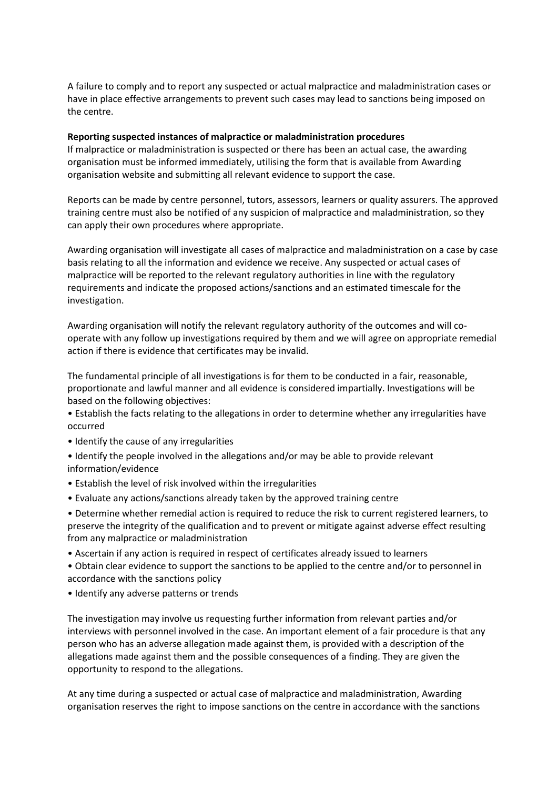A failure to comply and to report any suspected or actual malpractice and maladministration cases or have in place effective arrangements to prevent such cases may lead to sanctions being imposed on the centre.

#### **Reporting suspected instances of malpractice or maladministration procedures**

If malpractice or maladministration is suspected or there has been an actual case, the awarding organisation must be informed immediately, utilising the form that is available from Awarding organisation website and submitting all relevant evidence to support the case.

Reports can be made by centre personnel, tutors, assessors, learners or quality assurers. The approved training centre must also be notified of any suspicion of malpractice and maladministration, so they can apply their own procedures where appropriate.

Awarding organisation will investigate all cases of malpractice and maladministration on a case by case basis relating to all the information and evidence we receive. Any suspected or actual cases of malpractice will be reported to the relevant regulatory authorities in line with the regulatory requirements and indicate the proposed actions/sanctions and an estimated timescale for the investigation.

Awarding organisation will notify the relevant regulatory authority of the outcomes and will cooperate with any follow up investigations required by them and we will agree on appropriate remedial action if there is evidence that certificates may be invalid.

The fundamental principle of all investigations is for them to be conducted in a fair, reasonable, proportionate and lawful manner and all evidence is considered impartially. Investigations will be based on the following objectives:

- Establish the facts relating to the allegations in order to determine whether any irregularities have occurred
- Identify the cause of any irregularities

• Identify the people involved in the allegations and/or may be able to provide relevant information/evidence

- Establish the level of risk involved within the irregularities
- Evaluate any actions/sanctions already taken by the approved training centre

• Determine whether remedial action is required to reduce the risk to current registered learners, to preserve the integrity of the qualification and to prevent or mitigate against adverse effect resulting from any malpractice or maladministration

• Ascertain if any action is required in respect of certificates already issued to learners

• Obtain clear evidence to support the sanctions to be applied to the centre and/or to personnel in accordance with the sanctions policy

• Identify any adverse patterns or trends

The investigation may involve us requesting further information from relevant parties and/or interviews with personnel involved in the case. An important element of a fair procedure is that any person who has an adverse allegation made against them, is provided with a description of the allegations made against them and the possible consequences of a finding. They are given the opportunity to respond to the allegations.

At any time during a suspected or actual case of malpractice and maladministration, Awarding organisation reserves the right to impose sanctions on the centre in accordance with the sanctions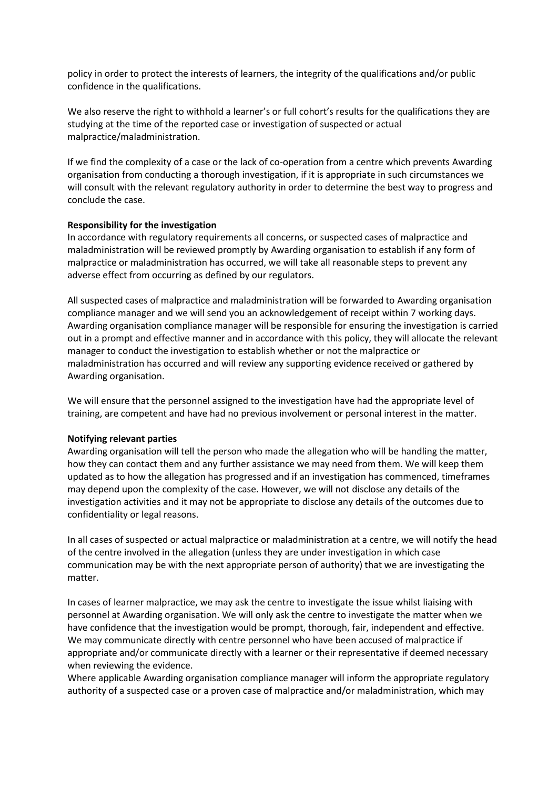policy in order to protect the interests of learners, the integrity of the qualifications and/or public confidence in the qualifications.

We also reserve the right to withhold a learner's or full cohort's results for the qualifications they are studying at the time of the reported case or investigation of suspected or actual malpractice/maladministration.

If we find the complexity of a case or the lack of co-operation from a centre which prevents Awarding organisation from conducting a thorough investigation, if it is appropriate in such circumstances we will consult with the relevant regulatory authority in order to determine the best way to progress and conclude the case.

#### **Responsibility for the investigation**

In accordance with regulatory requirements all concerns, or suspected cases of malpractice and maladministration will be reviewed promptly by Awarding organisation to establish if any form of malpractice or maladministration has occurred, we will take all reasonable steps to prevent any adverse effect from occurring as defined by our regulators.

All suspected cases of malpractice and maladministration will be forwarded to Awarding organisation compliance manager and we will send you an acknowledgement of receipt within 7 working days. Awarding organisation compliance manager will be responsible for ensuring the investigation is carried out in a prompt and effective manner and in accordance with this policy, they will allocate the relevant manager to conduct the investigation to establish whether or not the malpractice or maladministration has occurred and will review any supporting evidence received or gathered by Awarding organisation.

We will ensure that the personnel assigned to the investigation have had the appropriate level of training, are competent and have had no previous involvement or personal interest in the matter.

#### **Notifying relevant parties**

Awarding organisation will tell the person who made the allegation who will be handling the matter, how they can contact them and any further assistance we may need from them. We will keep them updated as to how the allegation has progressed and if an investigation has commenced, timeframes may depend upon the complexity of the case. However, we will not disclose any details of the investigation activities and it may not be appropriate to disclose any details of the outcomes due to confidentiality or legal reasons.

In all cases of suspected or actual malpractice or maladministration at a centre, we will notify the head of the centre involved in the allegation (unless they are under investigation in which case communication may be with the next appropriate person of authority) that we are investigating the matter.

In cases of learner malpractice, we may ask the centre to investigate the issue whilst liaising with personnel at Awarding organisation. We will only ask the centre to investigate the matter when we have confidence that the investigation would be prompt, thorough, fair, independent and effective. We may communicate directly with centre personnel who have been accused of malpractice if appropriate and/or communicate directly with a learner or their representative if deemed necessary when reviewing the evidence.

Where applicable Awarding organisation compliance manager will inform the appropriate regulatory authority of a suspected case or a proven case of malpractice and/or maladministration, which may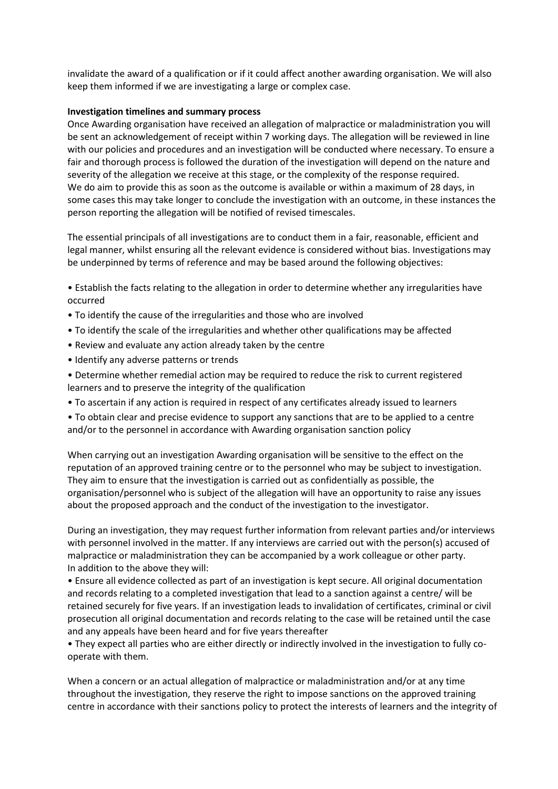invalidate the award of a qualification or if it could affect another awarding organisation. We will also keep them informed if we are investigating a large or complex case.

#### **Investigation timelines and summary process**

Once Awarding organisation have received an allegation of malpractice or maladministration you will be sent an acknowledgement of receipt within 7 working days. The allegation will be reviewed in line with our policies and procedures and an investigation will be conducted where necessary. To ensure a fair and thorough process is followed the duration of the investigation will depend on the nature and severity of the allegation we receive at this stage, or the complexity of the response required. We do aim to provide this as soon as the outcome is available or within a maximum of 28 days, in some cases this may take longer to conclude the investigation with an outcome, in these instances the person reporting the allegation will be notified of revised timescales.

The essential principals of all investigations are to conduct them in a fair, reasonable, efficient and legal manner, whilst ensuring all the relevant evidence is considered without bias. Investigations may be underpinned by terms of reference and may be based around the following objectives:

• Establish the facts relating to the allegation in order to determine whether any irregularities have occurred

- To identify the cause of the irregularities and those who are involved
- To identify the scale of the irregularities and whether other qualifications may be affected
- Review and evaluate any action already taken by the centre
- Identify any adverse patterns or trends
- Determine whether remedial action may be required to reduce the risk to current registered learners and to preserve the integrity of the qualification
- To ascertain if any action is required in respect of any certificates already issued to learners
- To obtain clear and precise evidence to support any sanctions that are to be applied to a centre and/or to the personnel in accordance with Awarding organisation sanction policy

When carrying out an investigation Awarding organisation will be sensitive to the effect on the reputation of an approved training centre or to the personnel who may be subject to investigation. They aim to ensure that the investigation is carried out as confidentially as possible, the organisation/personnel who is subject of the allegation will have an opportunity to raise any issues about the proposed approach and the conduct of the investigation to the investigator.

During an investigation, they may request further information from relevant parties and/or interviews with personnel involved in the matter. If any interviews are carried out with the person(s) accused of malpractice or maladministration they can be accompanied by a work colleague or other party. In addition to the above they will:

• Ensure all evidence collected as part of an investigation is kept secure. All original documentation and records relating to a completed investigation that lead to a sanction against a centre/ will be retained securely for five years. If an investigation leads to invalidation of certificates, criminal or civil prosecution all original documentation and records relating to the case will be retained until the case and any appeals have been heard and for five years thereafter

• They expect all parties who are either directly or indirectly involved in the investigation to fully cooperate with them.

When a concern or an actual allegation of malpractice or maladministration and/or at any time throughout the investigation, they reserve the right to impose sanctions on the approved training centre in accordance with their sanctions policy to protect the interests of learners and the integrity of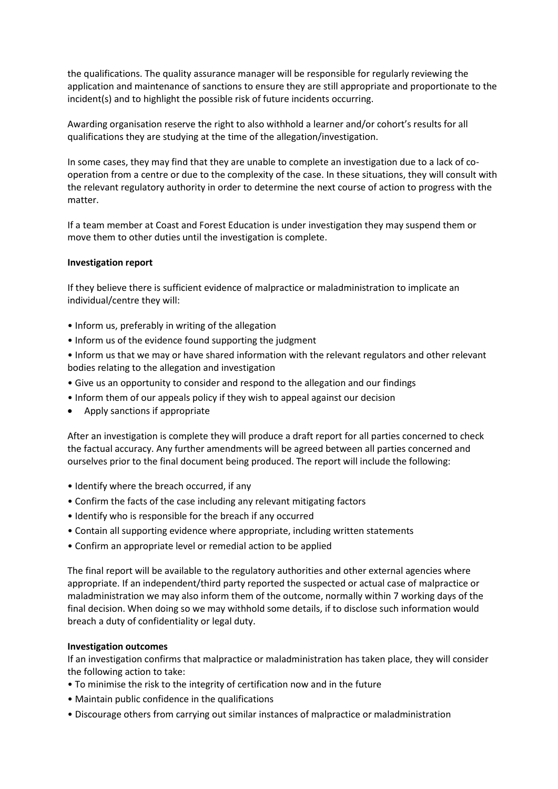the qualifications. The quality assurance manager will be responsible for regularly reviewing the application and maintenance of sanctions to ensure they are still appropriate and proportionate to the incident(s) and to highlight the possible risk of future incidents occurring.

Awarding organisation reserve the right to also withhold a learner and/or cohort's results for all qualifications they are studying at the time of the allegation/investigation.

In some cases, they may find that they are unable to complete an investigation due to a lack of cooperation from a centre or due to the complexity of the case. In these situations, they will consult with the relevant regulatory authority in order to determine the next course of action to progress with the matter.

If a team member at Coast and Forest Education is under investigation they may suspend them or move them to other duties until the investigation is complete.

#### **Investigation report**

If they believe there is sufficient evidence of malpractice or maladministration to implicate an individual/centre they will:

- Inform us, preferably in writing of the allegation
- Inform us of the evidence found supporting the judgment
- Inform us that we may or have shared information with the relevant regulators and other relevant bodies relating to the allegation and investigation
- Give us an opportunity to consider and respond to the allegation and our findings
- Inform them of our appeals policy if they wish to appeal against our decision
- Apply sanctions if appropriate

After an investigation is complete they will produce a draft report for all parties concerned to check the factual accuracy. Any further amendments will be agreed between all parties concerned and ourselves prior to the final document being produced. The report will include the following:

- Identify where the breach occurred, if any
- Confirm the facts of the case including any relevant mitigating factors
- Identify who is responsible for the breach if any occurred
- Contain all supporting evidence where appropriate, including written statements
- Confirm an appropriate level or remedial action to be applied

The final report will be available to the regulatory authorities and other external agencies where appropriate. If an independent/third party reported the suspected or actual case of malpractice or maladministration we may also inform them of the outcome, normally within 7 working days of the final decision. When doing so we may withhold some details, if to disclose such information would breach a duty of confidentiality or legal duty.

#### **Investigation outcomes**

If an investigation confirms that malpractice or maladministration has taken place, they will consider the following action to take:

- To minimise the risk to the integrity of certification now and in the future
- Maintain public confidence in the qualifications
- Discourage others from carrying out similar instances of malpractice or maladministration